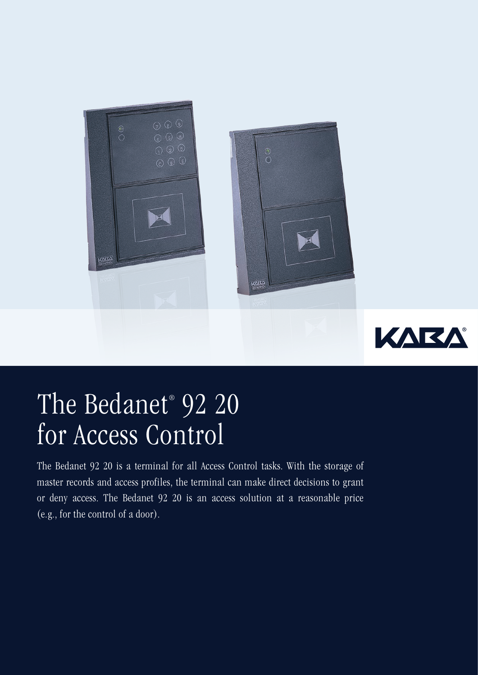



## The Bedanet® 92 20 for Access Control

The Bedanet 92 20 is a terminal for all Access Control tasks. With the storage of master records and access profiles, the terminal can make direct decisions to grant or deny access. The Bedanet 92 20 is an access solution at a reasonable price (e.g., for the control of a door).